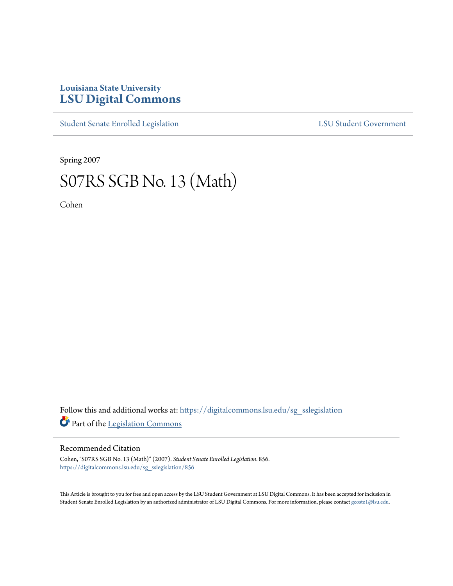## **Louisiana State University [LSU Digital Commons](https://digitalcommons.lsu.edu?utm_source=digitalcommons.lsu.edu%2Fsg_sslegislation%2F856&utm_medium=PDF&utm_campaign=PDFCoverPages)**

[Student Senate Enrolled Legislation](https://digitalcommons.lsu.edu/sg_sslegislation?utm_source=digitalcommons.lsu.edu%2Fsg_sslegislation%2F856&utm_medium=PDF&utm_campaign=PDFCoverPages) [LSU Student Government](https://digitalcommons.lsu.edu/sg?utm_source=digitalcommons.lsu.edu%2Fsg_sslegislation%2F856&utm_medium=PDF&utm_campaign=PDFCoverPages)

Spring 2007

## S07RS SGB No. 13 (Math)

Cohen

Follow this and additional works at: [https://digitalcommons.lsu.edu/sg\\_sslegislation](https://digitalcommons.lsu.edu/sg_sslegislation?utm_source=digitalcommons.lsu.edu%2Fsg_sslegislation%2F856&utm_medium=PDF&utm_campaign=PDFCoverPages) Part of the [Legislation Commons](http://network.bepress.com/hgg/discipline/859?utm_source=digitalcommons.lsu.edu%2Fsg_sslegislation%2F856&utm_medium=PDF&utm_campaign=PDFCoverPages)

## Recommended Citation

Cohen, "S07RS SGB No. 13 (Math)" (2007). *Student Senate Enrolled Legislation*. 856. [https://digitalcommons.lsu.edu/sg\\_sslegislation/856](https://digitalcommons.lsu.edu/sg_sslegislation/856?utm_source=digitalcommons.lsu.edu%2Fsg_sslegislation%2F856&utm_medium=PDF&utm_campaign=PDFCoverPages)

This Article is brought to you for free and open access by the LSU Student Government at LSU Digital Commons. It has been accepted for inclusion in Student Senate Enrolled Legislation by an authorized administrator of LSU Digital Commons. For more information, please contact [gcoste1@lsu.edu.](mailto:gcoste1@lsu.edu)